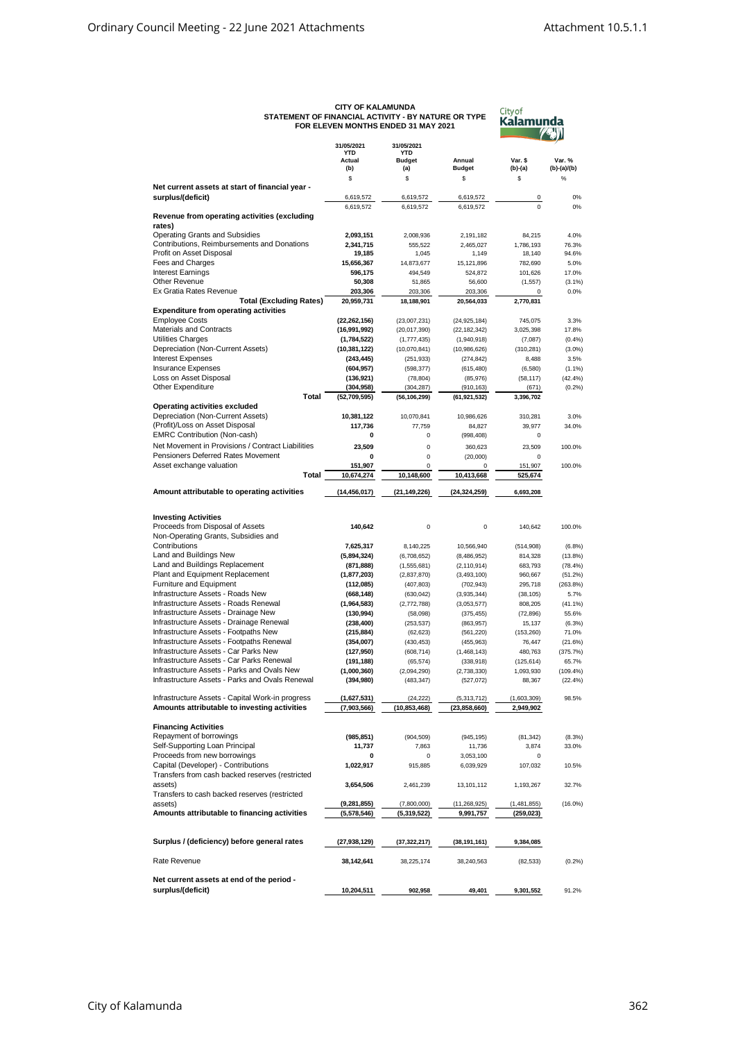| STATEMENT OF FINANCIAL ACTIVITY - BY NATURE OR TYPE                                | <b>CITY OF KALAMUNDA</b>    | FOR ELEVEN MONTHS ENDED 31 MAY 2021 | City of<br>Kalamunda         |                    |                    |
|------------------------------------------------------------------------------------|-----------------------------|-------------------------------------|------------------------------|--------------------|--------------------|
|                                                                                    | 31/05/2021<br>YTD<br>Actual | 31/05/2021<br>YTD<br><b>Budget</b>  | Annual                       | Var. \$            | Var. %             |
|                                                                                    | (b)                         | (a)                                 | <b>Budget</b>                | (b)-(a)            | $(b)-(a)/(b)$      |
|                                                                                    | \$                          | \$                                  | \$                           | \$                 | $\%$               |
| Net current assets at start of financial year -                                    |                             |                                     |                              |                    |                    |
| surplus/(deficit)                                                                  | 6,619,572<br>6,619,572      | 6,619,572<br>6,619,572              | 6,619,572<br>6,619,572       | 0<br>$\mathbf 0$   | 0%<br>0%           |
| Revenue from operating activities (excluding                                       |                             |                                     |                              |                    |                    |
| rates)                                                                             |                             |                                     |                              |                    |                    |
| <b>Operating Grants and Subsidies</b>                                              | 2,093,151                   | 2,008,936                           | 2,191,182                    | 84,215             | 4.0%               |
| Contributions. Reimbursements and Donations<br>Profit on Asset Disposal            | 2,341,715                   | 555,522                             | 2,465,027                    | 1,786,193          | 76.3%              |
| Fees and Charges                                                                   | 19,185<br>15,656,367        | 1,045<br>14,873,677                 | 1,149<br>15,121,896          | 18,140<br>782,690  | 94.6%<br>5.0%      |
| <b>Interest Earnings</b>                                                           | 596,175                     | 494,549                             | 524,872                      | 101,626            | 17.0%              |
| Other Revenue                                                                      | 50,308                      | 51,865                              | 56,600                       | (1,557)            | (3.1%              |
| Ex Gratia Rates Revenue                                                            | 203,306                     | 203,306                             | 203,306                      | 0                  | 0.0%               |
| <b>Total (Excluding Rates)</b>                                                     | 20,959,731                  | 18,188,901                          | 20,564,033                   | 2,770,831          |                    |
| <b>Expenditure from operating activities</b><br><b>Employee Costs</b>              | (22, 262, 156)              | (23,007,231)                        | (24, 925, 184)               | 745,075            | 3.3%               |
| Materials and Contracts                                                            | (16,991,992)                | (20, 017, 390)                      | (22, 182, 342)               | 3,025,398          | 17.8%              |
| Utilities Charges                                                                  | (1,784,522)                 | (1, 777, 435)                       | (1,940,918)                  | (7,087)            | (0.4%              |
| Depreciation (Non-Current Assets)                                                  | (10, 381, 122)              | (10,070,841)                        | (10,986,626)                 | (310, 281)         | (3.0%              |
| <b>Interest Expenses</b>                                                           | (243, 445)                  | (251, 933)                          | (274, 842)                   | 8,488              | 3.5%               |
| <b>Insurance Expenses</b>                                                          | (604, 957)                  | (598, 377)                          | (615, 480)                   | (6, 580)           | (1.1%              |
| Loss on Asset Disposal                                                             | (136, 921)                  | (78, 804)                           | (85, 976)                    | (58, 117)          | (42.4%             |
| Other Expenditure<br>Total                                                         | (304, 958)<br>(52,709,595)  | (304, 287)<br>(56, 106, 299)        | (910, 163)<br>(61, 921, 532) | (671)<br>3,396,702 | (0.2%              |
| <b>Operating activities excluded</b>                                               |                             |                                     |                              |                    |                    |
| Depreciation (Non-Current Assets)                                                  | 10,381,122                  | 10,070,841                          | 10,986,626                   | 310,281            | 3.0%               |
| (Profit)/Loss on Asset Disposal                                                    | 117,736                     | 77,759                              | 84,827                       | 39,977             | 34.0%              |
| <b>EMRC Contribution (Non-cash)</b>                                                | 0                           | 0                                   | (998, 408)                   | 0                  |                    |
| Net Movement in Provisions / Contract Liabilities                                  | 23,509                      | $\mathbf 0$                         | 360,623                      | 23,509             | 100.0%             |
| Pensioners Deferred Rates Movement                                                 | 0                           | 0                                   | (20,000)                     | 0                  |                    |
| Asset exchange valuation<br>Total                                                  | 151,907<br>10,674,274       | 0<br>10,148,600                     | 0<br>10,413,668              | 151,907<br>525,674 | 100.0%             |
|                                                                                    |                             |                                     |                              |                    |                    |
| Amount attributable to operating activities                                        | (14, 456, 017)              | (21, 149, 226)                      | (24, 324, 259)               | 6,693,208          |                    |
| <b>Investing Activities</b>                                                        |                             |                                     |                              |                    |                    |
| Proceeds from Disposal of Assets                                                   | 140,642                     | $\mathbf 0$                         | 0                            | 140,642            | 100.0%             |
| Non-Operating Grants, Subsidies and                                                |                             |                                     |                              |                    |                    |
| Contributions                                                                      | 7,625,317                   | 8,140,225                           | 10,566,940                   | (514,908)          | (6.8%)             |
| Land and Buildings New                                                             | (5,894,324)                 | (6,708,652)                         | (8,486,952)                  | 814,328            | (13.8%)            |
| Land and Buildings Replacement<br>Plant and Equipment Replacement                  | (871, 888)<br>(1, 877, 203) | (1,555,681)<br>(2,837,870)          | (2, 110, 914)<br>(3,493,100) | 683,793<br>960,667 | (78.4%<br>(51.2%   |
| Furniture and Equipment                                                            | (112,085)                   | (407, 803)                          | (702, 943)                   | 295,718            | $(263.8\%)$        |
| Infrastructure Assets - Roads New                                                  | (668, 148)                  | (630, 042)                          | (3,935,344)                  | (38, 105)          | 5.7%               |
| Infrastructure Assets - Roads Renewal                                              | (1,964,583)                 | (2, 772, 788)                       | (3,053,577)                  | 808,205            | (41.1%             |
| Infrastructure Assets - Drainage New                                               | (130, 994)                  | (58,098)                            | (375, 455)                   | (72, 896)          | 55.6%              |
| Infrastructure Assets - Drainage Renewal                                           | (238, 400)                  | (253, 537)                          | (863, 957)                   | 15,137             | (6.3%)             |
| Infrastructure Assets - Footpaths New<br>Infrastructure Assets - Footpaths Renewal | (215, 884)                  | (62, 623)                           | (561, 220)                   | (153, 260)         | 71.0%              |
| Infrastructure Assets - Car Parks New                                              | (354,007)<br>(127, 950)     | (430, 453)<br>(608, 714)            | (455, 963)<br>(1,468,143)    | 76,447<br>480,763  | (21.6%)<br>(375.7% |
| Infrastructure Assets - Car Parks Renewal                                          | (191, 188)                  | (65, 574)                           | (338, 918)                   | (125, 614)         | 65.7%              |
| Infrastructure Assets - Parks and Ovals New                                        | (1,000,360)                 | (2,094,290)                         | (2,738,330)                  | 1,093,930          | $(109.4\%)$        |
| Infrastructure Assets - Parks and Ovals Renewal                                    | (394, 980)                  | (483, 347)                          | (527, 072)                   | 88,367             | (22.4%             |
| Infrastructure Assets - Capital Work-in progress                                   | (1,627,531)                 | (24, 222)                           | (5,313,712)                  | (1,603,309)        | 98.5%              |
| Amounts attributable to investing activities                                       | (7,903,566)                 | (10, 853, 468)                      | (23, 858, 660)               | 2,949,902          |                    |
| <b>Financing Activities</b>                                                        |                             |                                     |                              |                    |                    |
| Repayment of borrowings                                                            | (985, 851)                  | (904, 509)                          | (945, 195)                   | (81, 342)          | (8.3%)             |
| Self-Supporting Loan Principal                                                     | 11,737                      | 7,863                               | 11,736                       | 3,874              | 33.0%              |
| Proceeds from new borrowings                                                       | 0                           | 0                                   | 3,053,100                    | 0                  |                    |
| Capital (Developer) - Contributions                                                | 1,022,917                   | 915,885                             | 6,039,929                    | 107,032            | 10.5%              |
| Transfers from cash backed reserves (restricted<br>assets)                         |                             | 2,461,239                           | 13,101,112                   | 1,193,267          | 32.7%              |
| Transfers to cash backed reserves (restricted                                      | 3,654,506                   |                                     |                              |                    |                    |
| assets)                                                                            | (9, 281, 855)               | (7,800,000)                         | (11, 268, 925)               | (1,481,855)        | $(16.0\%)$         |
| Amounts attributable to financing activities                                       | (5,578,546)                 | (5,319,522)                         | 9,991,757                    | (259,023)          |                    |
| Surplus / (deficiency) before general rates                                        | (27, 938, 129)              | (37, 322, 217)                      | (38, 191, 161)               | 9,384,085          |                    |
|                                                                                    |                             |                                     |                              |                    |                    |
| Rate Revenue                                                                       | 38,142,641                  | 38,225,174                          | 38,240,563                   | (82, 533)          | (0.2%              |
| Net current assets at end of the period -                                          |                             |                                     |                              |                    |                    |
| surplus/(deficit)                                                                  | 10,204,511                  | 902,958                             | 49,401                       | 9,301,552          | 91.2%              |

## **CITY OF KALAMUNDA STATEMENT OF FINANCIAL ACTIVITY - BY NATURE OR TYPE FOR ELEVEN MONTHS ENDED 31 MAY 2021**